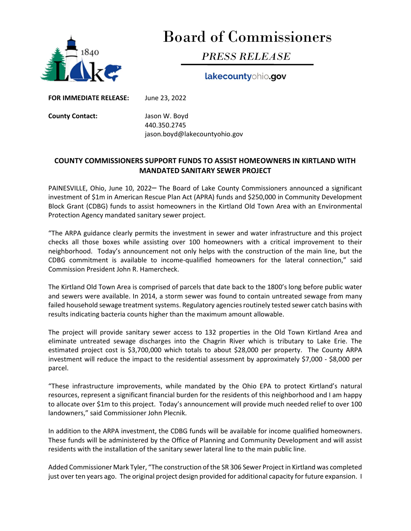

## Board of Commissioners

## PRESS RELEASE

lakecountyohio.gov

FOR IMMEDIATE RELEASE: June 23, 2022

County Contact: Jason W. Boyd 440.350.2745 jason.boyd@lakecountyohio.gov

## COUNTY COMMISSIONERS SUPPORT FUNDS TO ASSIST HOMEOWNERS IN KIRTLAND WITH MANDATED SANITARY SEWER PROJECT

PAINESVILLE, Ohio, June 10, 2022 The Board of Lake County Commissioners announced a significant investment of \$1m in American Rescue Plan Act (APRA) funds and \$250,000 in Community Development Block Grant (CDBG) funds to assist homeowners in the Kirtland Old Town Area with an Environmental Protection Agency mandated sanitary sewer project.

"The ARPA guidance clearly permits the investment in sewer and water infrastructure and this project checks all those boxes while assisting over 100 homeowners with a critical improvement to their neighborhood. Today's announcement not only helps with the construction of the main line, but the CDBG commitment is available to income-qualified homeowners for the lateral connection," said Commission President John R. Hamercheck.

The Kirtland Old Town Area is comprised of parcels that date back to the 1800's long before public water and sewers were available. In 2014, a storm sewer was found to contain untreated sewage from many failed household sewage treatment systems. Regulatory agencies routinely tested sewer catch basins with results indicating bacteria counts higher than the maximum amount allowable.

The project will provide sanitary sewer access to 132 properties in the Old Town Kirtland Area and eliminate untreated sewage discharges into the Chagrin River which is tributary to Lake Erie. The estimated project cost is \$3,700,000 which totals to about \$28,000 per property. The County ARPA investment will reduce the impact to the residential assessment by approximately \$7,000 - \$8,000 per parcel.

"These infrastructure improvements, while mandated by the Ohio EPA to protect Kirtland's natural resources, represent a significant financial burden for the residents of this neighborhood and I am happy to allocate over \$1m to this project. Today's announcement will provide much needed relief to over 100 landowners," said Commissioner John Plecnik.

In addition to the ARPA investment, the CDBG funds will be available for income qualified homeowners. These funds will be administered by the Office of Planning and Community Development and will assist residents with the installation of the sanitary sewer lateral line to the main public line.

Added Commissioner Mark Tyler, "The construction of the SR 306 Sewer Project in Kirtland was completed just over ten years ago. The original project design provided for additional capacity for future expansion. I